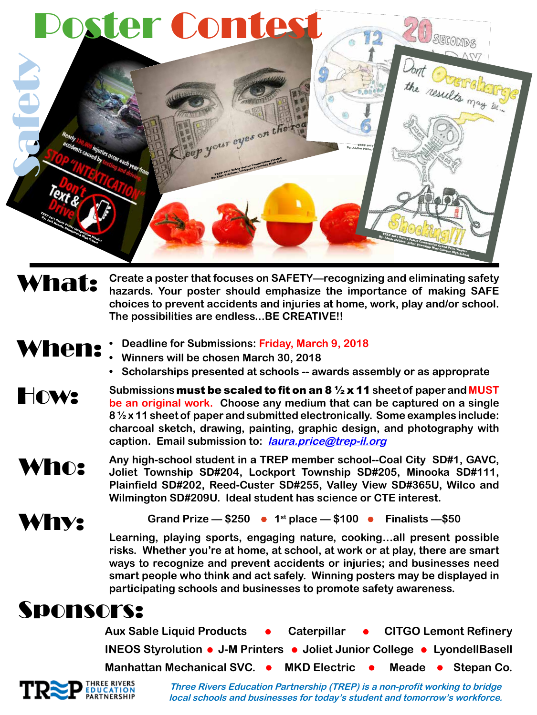

What: **Create a poster that focuses on SAFETY—recognizing and eliminating safety hazards. Your poster should emphasize the importance of making SAFE choices to prevent accidents and injuries at home, work, play and/or school. The possibilities are endless...BE CREATIVE!!** 

- When:
- **• Deadline for Submissions: Friday, March 9, 2018**
	- **• Winners will be chosen March 30, 2018**
	- **• Scholarships presented at schools -- awards assembly or as approprate**
- How: **Submissions** must be scaled to fit on an 8 ½ x 11 **sheet of paper and MUST be an original work. Choose any medium that can be captured on a single 8 ½ x 11 sheet of paper and submitted electronically. Some examples include: charcoal sketch, drawing, painting, graphic design, and photography with caption. Email submission to: laura.price@trep-il.org**

Who: **Any high-school student in a TREP member school--Coal City SD#1, GAVC, Joliet Township SD#204, Lockport Township SD#205, Minooka SD#111, Plainfield SD#202, Reed-Custer SD#255, Valley View SD#365U, Wilco and Wilmington SD#209U. Ideal student has science or CTE interest.**



Grand Prize  $-$  \$250  $\bullet$  1<sup>st</sup> place  $-$  \$100  $\bullet$  Finalists  $-$  \$50

**Learning, playing sports, engaging nature, cooking…all present possible risks. Whether you're at home, at school, at work or at play, there are smart ways to recognize and prevent accidents or injuries; and businesses need smart people who think and act safely. Winning posters may be displayed in participating schools and businesses to promote safety awareness.** 

## Sponsors:

Aux Sable Liquid Products • Caterpillar • CITGO Lemont Refinery **INEOS Styrolution • J-M Printers • Joliet Junior College • LyondellBasell Manhattan Mechanical SVC. • MKD Electric • Meade • Stepan Co.** 



**Three Rivers Education Partnership (TREP) is a non-profit working to bridge local schools and businesses for today's student and tomorrow's workforce.**